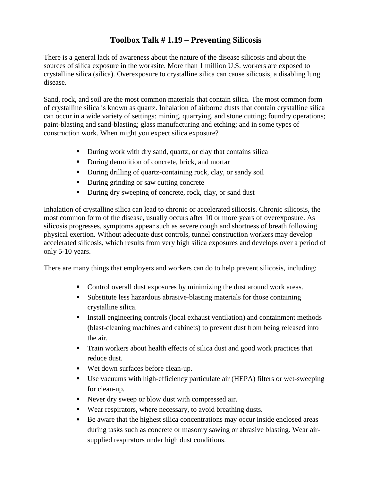## **Toolbox Talk # 1.19 – Preventing Silicosis**

There is a general lack of awareness about the nature of the disease silicosis and about the sources of silica exposure in the worksite. More than 1 million U.S. workers are exposed to crystalline silica (silica). Overexposure to crystalline silica can cause silicosis, a disabling lung disease.

Sand, rock, and soil are the most common materials that contain silica. The most common form of crystalline silica is known as quartz. Inhalation of airborne dusts that contain crystalline silica can occur in a wide variety of settings: mining, quarrying, and stone cutting; foundry operations; paint-blasting and sand-blasting; glass manufacturing and etching; and in some types of construction work. When might you expect silica exposure?

- During work with dry sand, quartz, or clay that contains silica
- During demolition of concrete, brick, and mortar
- During drilling of quartz-containing rock, clay, or sandy soil
- **During grinding or saw cutting concrete**
- During dry sweeping of concrete, rock, clay, or sand dust

Inhalation of crystalline silica can lead to chronic or accelerated silicosis. Chronic silicosis, the most common form of the disease, usually occurs after 10 or more years of overexposure. As silicosis progresses, symptoms appear such as severe cough and shortness of breath following physical exertion. Without adequate dust controls, tunnel construction workers may develop accelerated silicosis, which results from very high silica exposures and develops over a period of only 5-10 years.

There are many things that employers and workers can do to help prevent silicosis, including:

- Control overall dust exposures by minimizing the dust around work areas.
- Substitute less hazardous abrasive-blasting materials for those containing crystalline silica.
- Install engineering controls (local exhaust ventilation) and containment methods (blast-cleaning machines and cabinets) to prevent dust from being released into the air.
- Train workers about health effects of silica dust and good work practices that reduce dust.
- Wet down surfaces before clean-up.
- Use vacuums with high-efficiency particulate air (HEPA) filters or wet-sweeping for clean-up.
- Never dry sweep or blow dust with compressed air.
- Wear respirators, where necessary, to avoid breathing dusts.
- Be aware that the highest silica concentrations may occur inside enclosed areas during tasks such as concrete or masonry sawing or abrasive blasting. Wear airsupplied respirators under high dust conditions.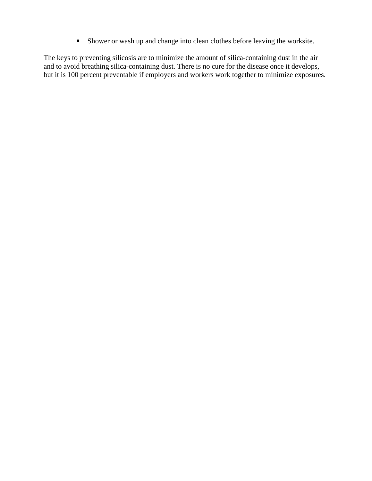Shower or wash up and change into clean clothes before leaving the worksite.

The keys to preventing silicosis are to minimize the amount of silica-containing dust in the air and to avoid breathing silica-containing dust. There is no cure for the disease once it develops, but it is 100 percent preventable if employers and workers work together to minimize exposures.